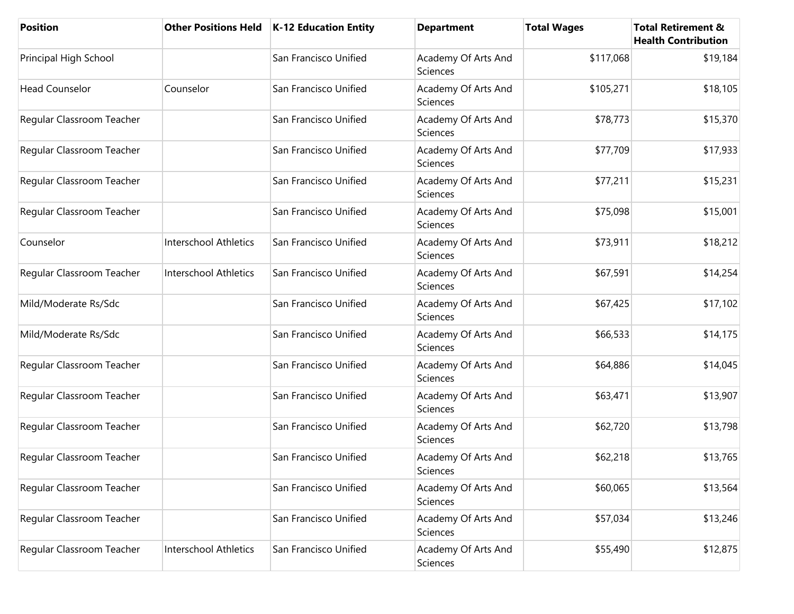| <b>Position</b>           | <b>Other Positions Held</b>  | <b>K-12 Education Entity</b> | <b>Department</b>                      | <b>Total Wages</b> | <b>Total Retirement &amp;</b><br><b>Health Contribution</b> |
|---------------------------|------------------------------|------------------------------|----------------------------------------|--------------------|-------------------------------------------------------------|
| Principal High School     |                              | San Francisco Unified        | Academy Of Arts And<br>Sciences        | \$117,068          | \$19,184                                                    |
| <b>Head Counselor</b>     | Counselor                    | San Francisco Unified        | Academy Of Arts And<br>Sciences        | \$105,271          | \$18,105                                                    |
| Regular Classroom Teacher |                              | San Francisco Unified        | Academy Of Arts And<br><b>Sciences</b> | \$78,773           | \$15,370                                                    |
| Regular Classroom Teacher |                              | San Francisco Unified        | Academy Of Arts And<br>Sciences        | \$77,709           | \$17,933                                                    |
| Regular Classroom Teacher |                              | San Francisco Unified        | Academy Of Arts And<br>Sciences        | \$77,211           | \$15,231                                                    |
| Regular Classroom Teacher |                              | San Francisco Unified        | Academy Of Arts And<br>Sciences        | \$75,098           | \$15,001                                                    |
| Counselor                 | Interschool Athletics        | San Francisco Unified        | Academy Of Arts And<br>Sciences        | \$73,911           | \$18,212                                                    |
| Regular Classroom Teacher | <b>Interschool Athletics</b> | San Francisco Unified        | Academy Of Arts And<br>Sciences        | \$67,591           | \$14,254                                                    |
| Mild/Moderate Rs/Sdc      |                              | San Francisco Unified        | Academy Of Arts And<br>Sciences        | \$67,425           | \$17,102                                                    |
| Mild/Moderate Rs/Sdc      |                              | San Francisco Unified        | Academy Of Arts And<br>Sciences        | \$66,533           | \$14,175                                                    |
| Regular Classroom Teacher |                              | San Francisco Unified        | Academy Of Arts And<br>Sciences        | \$64,886           | \$14,045                                                    |
| Regular Classroom Teacher |                              | San Francisco Unified        | Academy Of Arts And<br>Sciences        | \$63,471           | \$13,907                                                    |
| Regular Classroom Teacher |                              | San Francisco Unified        | Academy Of Arts And<br>Sciences        | \$62,720           | \$13,798                                                    |
| Regular Classroom Teacher |                              | San Francisco Unified        | Academy Of Arts And<br>Sciences        | \$62,218           | \$13,765                                                    |
| Regular Classroom Teacher |                              | San Francisco Unified        | Academy Of Arts And<br>Sciences        | \$60,065           | \$13,564                                                    |
| Regular Classroom Teacher |                              | San Francisco Unified        | Academy Of Arts And<br>Sciences        | \$57,034           | \$13,246                                                    |
| Regular Classroom Teacher | Interschool Athletics        | San Francisco Unified        | Academy Of Arts And<br>Sciences        | \$55,490           | \$12,875                                                    |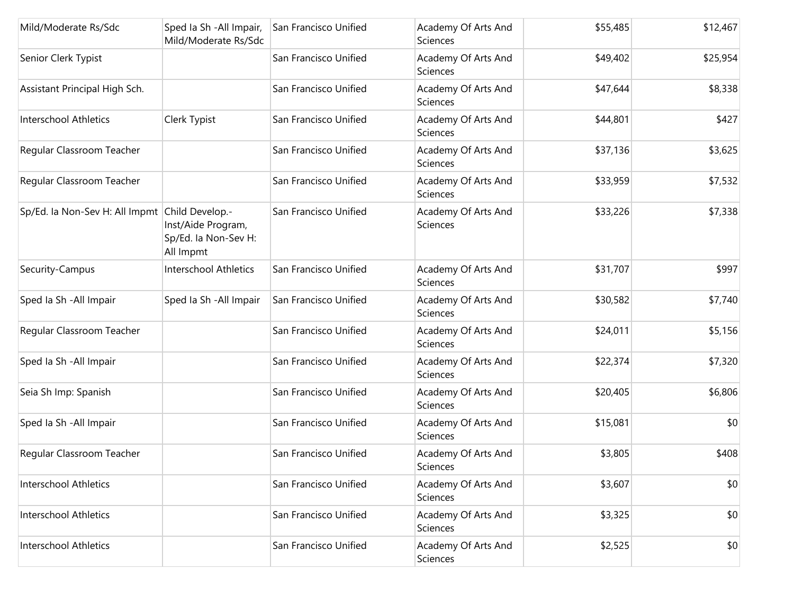| Mild/Moderate Rs/Sdc                           | Sped la Sh - All Impair,<br>Mild/Moderate Rs/Sdc        | San Francisco Unified | Academy Of Arts And<br>Sciences        | \$55,485 | \$12,467 |
|------------------------------------------------|---------------------------------------------------------|-----------------------|----------------------------------------|----------|----------|
| Senior Clerk Typist                            |                                                         | San Francisco Unified | Academy Of Arts And<br>Sciences        | \$49,402 | \$25,954 |
| Assistant Principal High Sch.                  |                                                         | San Francisco Unified | Academy Of Arts And<br>Sciences        | \$47,644 | \$8,338  |
| Interschool Athletics                          | Clerk Typist                                            | San Francisco Unified | Academy Of Arts And<br><b>Sciences</b> | \$44,801 | \$427    |
| Regular Classroom Teacher                      |                                                         | San Francisco Unified | Academy Of Arts And<br>Sciences        | \$37,136 | \$3,625  |
| Regular Classroom Teacher                      |                                                         | San Francisco Unified | Academy Of Arts And<br>Sciences        | \$33,959 | \$7,532  |
| Sp/Ed. la Non-Sev H: All Impmt Child Develop.- | Inst/Aide Program,<br>Sp/Ed. la Non-Sev H:<br>All Impmt | San Francisco Unified | Academy Of Arts And<br>Sciences        | \$33,226 | \$7,338  |
| Security-Campus                                | <b>Interschool Athletics</b>                            | San Francisco Unified | Academy Of Arts And<br><b>Sciences</b> | \$31,707 | \$997    |
| Sped Ia Sh - All Impair                        | Sped Ia Sh - All Impair                                 | San Francisco Unified | Academy Of Arts And<br>Sciences        | \$30,582 | \$7,740  |
| Regular Classroom Teacher                      |                                                         | San Francisco Unified | Academy Of Arts And<br>Sciences        | \$24,011 | \$5,156  |
| Sped Ia Sh - All Impair                        |                                                         | San Francisco Unified | Academy Of Arts And<br><b>Sciences</b> | \$22,374 | \$7,320  |
| Seia Sh Imp: Spanish                           |                                                         | San Francisco Unified | Academy Of Arts And<br><b>Sciences</b> | \$20,405 | \$6,806  |
| Sped Ia Sh - All Impair                        |                                                         | San Francisco Unified | Academy Of Arts And<br><b>Sciences</b> | \$15,081 | \$0      |
| Regular Classroom Teacher                      |                                                         | San Francisco Unified | Academy Of Arts And<br>Sciences        | \$3,805  | \$408    |
| <b>Interschool Athletics</b>                   |                                                         | San Francisco Unified | Academy Of Arts And<br>Sciences        | \$3,607  | \$0      |
| Interschool Athletics                          |                                                         | San Francisco Unified | Academy Of Arts And<br>Sciences        | \$3,325  | \$0      |
| <b>Interschool Athletics</b>                   |                                                         | San Francisco Unified | Academy Of Arts And<br>Sciences        | \$2,525  | \$0      |